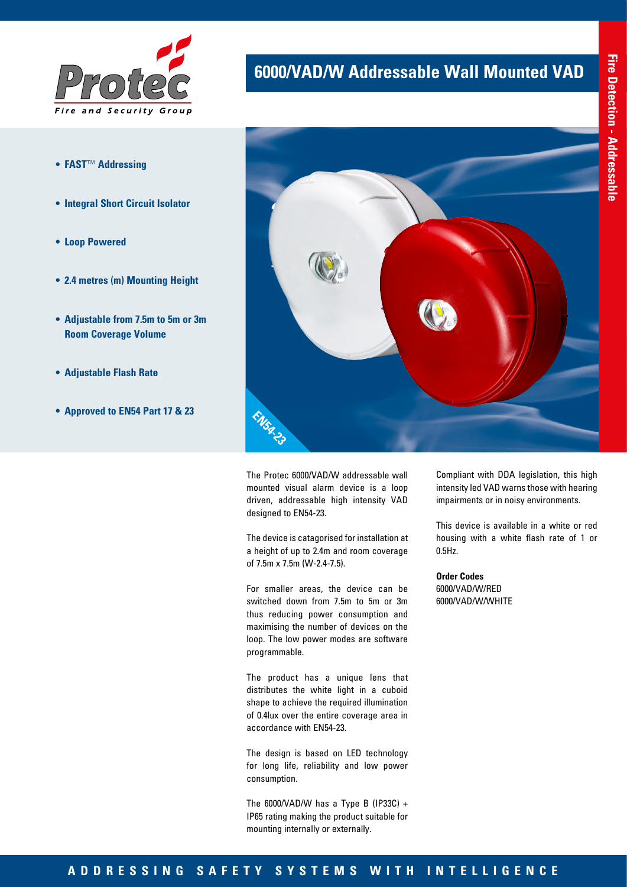

- **• FAST**™ **Addressing**
- **• Integral Short Circuit Isolator**
- **• Loop Powered**
- **• 2.4 metres (m) Mounting Height**
- **• Adjustable from 7.5m to 5m or 3m Room Coverage Volume**
- **• Adjustable Flash Rate**
- **• Approved to EN54 Part 17 & 23**

# **6000/VAD/W Addressable Wall Mounted VAD**



The Protec 6000/VAD/W addressable wall mounted visual alarm device is a loop driven, addressable high intensity VAD designed to EN54-23.

The device is catagorised for installation at a height of up to 2.4m and room coverage of 7.5m x 7.5m (W-2.4-7.5).

For smaller areas, the device can be switched down from 7.5m to 5m or 3m thus reducing power consumption and maximising the number of devices on the loop. The low power modes are software programmable.

The product has a unique lens that distributes the white light in a cuboid shape to achieve the required illumination of 0.4lux over the entire coverage area in accordance with EN54-23.

The design is based on LED technology for long life, reliability and low power consumption.

The 6000/VAD/W has a Type B (IP33C) + IP65 rating making the product suitable for mounting internally or externally.

Compliant with DDA legislation, this high intensity led VAD warns those with hearing impairments or in noisy environments.

This device is available in a white or red housing with a white flash rate of 1 or 0.5Hz.

**Order Codes** 6000/VAD/W/RED 6000/VAD/W/WHITE